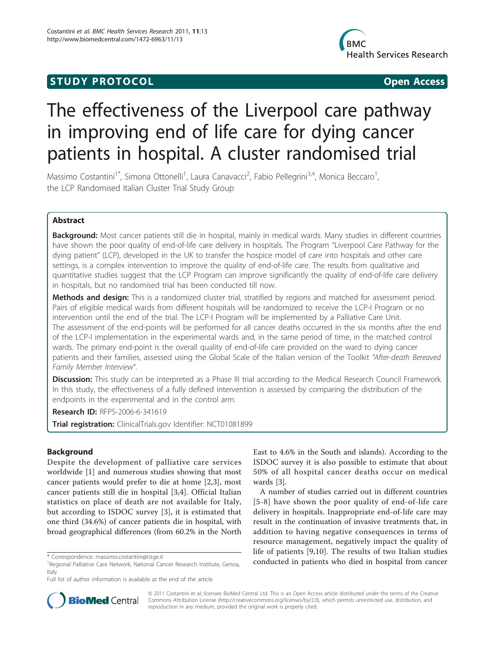# **STUDY PROTOCOL** And the state of the state of the state of the state of the state of the state of the state of the state of the state of the state of the state of the state of the state of the state of the state of the st



# The effectiveness of the Liverpool care pathway in improving end of life care for dying cancer patients in hospital. A cluster randomised trial

Massimo Costantini<sup>1\*</sup>, Simona Ottonelli<sup>1</sup>, Laura Canavacci<sup>2</sup>, Fabio Pellegrini<sup>3,4</sup>, Monica Beccaro<sup>1</sup> , the LCP Randomised Italian Cluster Trial Study Group

## Abstract

Background: Most cancer patients still die in hospital, mainly in medical wards. Many studies in different countries have shown the poor quality of end-of-life care delivery in hospitals. The Program "Liverpool Care Pathway for the dying patient" (LCP), developed in the UK to transfer the hospice model of care into hospitals and other care settings, is a complex intervention to improve the quality of end-of-life care. The results from qualitative and quantitative studies suggest that the LCP Program can improve significantly the quality of end-of-life care delivery in hospitals, but no randomised trial has been conducted till now.

Methods and design: This is a randomized cluster trial, stratified by regions and matched for assessment period. Pairs of eligible medical wards from different hospitals will be randomized to receive the LCP-I Program or no intervention until the end of the trial. The LCP-I Program will be implemented by a Palliative Care Unit. The assessment of the end-points will be performed for all cancer deaths occurred in the six months after the end of the LCP-I implementation in the experimental wards and, in the same period of time, in the matched control wards. The primary end-point is the overall quality of end-of-life care provided on the ward to dying cancer patients and their families, assessed using the Global Scale of the Italian version of the Toolkit "After-death Bereaved Family Member Interview".

**Discussion:** This study can be interpreted as a Phase III trial according to the Medical Research Council Framework. In this study, the effectiveness of a fully defined intervention is assessed by comparing the distribution of the endpoints in the experimental and in the control arm.

Research ID: RFPS-2006-6-341619

Trial registration: ClinicalTrials.gov Identifier: [NCT01081899](http://www.clinicaltrials.gov/ct2/show/NCT01081899)

## Background

Despite the development of palliative care services worldwide [\[1](#page-8-0)] and numerous studies showing that most cancer patients would prefer to die at home [[2,3](#page-8-0)], most cancer patients still die in hospital [[3,4](#page-8-0)]. Official Italian statistics on place of death are not available for Italy, but according to ISDOC survey [\[3](#page-8-0)], it is estimated that one third (34.6%) of cancer patients die in hospital, with broad geographical differences (from 60.2% in the North East to 4.6% in the South and islands). According to the ISDOC survey it is also possible to estimate that about 50% of all hospital cancer deaths occur on medical wards [[3\]](#page-8-0).

A number of studies carried out in different countries [[5](#page-9-0)-[8](#page-9-0)] have shown the poor quality of end-of-life care delivery in hospitals. Inappropriate end-of-life care may result in the continuation of invasive treatments that, in addition to having negative consequences in terms of resource management, negatively impact the quality of life of patients [\[9](#page-9-0),[10\]](#page-9-0). The results of two Italian studies Experience: [massimo.costantini@istge.it](mailto:massimo.costantini@istge.it)<br>
<sup>1</sup>Begional Palliative Gare Network National Cancer Research Institute Genoa **conducted in patients who died in hospital from cancer** 



© 2011 Costantini et al; licensee BioMed Central Ltd. This is an Open Access article distributed under the terms of the Creative Commons Attribution License [\(http://creativecommons.org/licenses/by/2.0](http://creativecommons.org/licenses/by/2.0)), which permits unrestricted use, distribution, and reproduction in any medium, provided the original work is properly cited.

<sup>&</sup>lt;sup>1</sup> Regional Palliative Care Network, National Cancer Research Institute, Genoa, Italy

Full list of author information is available at the end of the article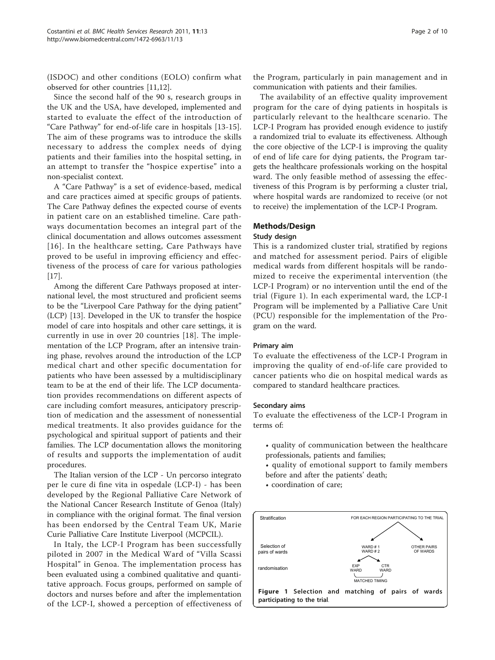(ISDOC) and other conditions (EOLO) confirm what observed for other countries [[11](#page-9-0),[12](#page-9-0)].

Since the second half of the 90 s, research groups in the UK and the USA, have developed, implemented and started to evaluate the effect of the introduction of "Care Pathway" for end-of-life care in hospitals [[13-15](#page-9-0)]. The aim of these programs was to introduce the skills necessary to address the complex needs of dying patients and their families into the hospital setting, in an attempt to transfer the "hospice expertise" into a non-specialist context.

A "Care Pathway" is a set of evidence-based, medical and care practices aimed at specific groups of patients. The Care Pathway defines the expected course of events in patient care on an established timeline. Care pathways documentation becomes an integral part of the clinical documentation and allows outcomes assessment [[16](#page-9-0)]. In the healthcare setting, Care Pathways have proved to be useful in improving efficiency and effectiveness of the process of care for various pathologies [[17\]](#page-9-0).

Among the different Care Pathways proposed at international level, the most structured and proficient seems to be the "Liverpool Care Pathway for the dying patient" (LCP) [\[13](#page-9-0)]. Developed in the UK to transfer the hospice model of care into hospitals and other care settings, it is currently in use in over 20 countries [[18](#page-9-0)]. The implementation of the LCP Program, after an intensive training phase, revolves around the introduction of the LCP medical chart and other specific documentation for patients who have been assessed by a multidisciplinary team to be at the end of their life. The LCP documentation provides recommendations on different aspects of care including comfort measures, anticipatory prescription of medication and the assessment of nonessential medical treatments. It also provides guidance for the psychological and spiritual support of patients and their families. The LCP documentation allows the monitoring of results and supports the implementation of audit procedures.

The Italian version of the LCP - Un percorso integrato per le cure di fine vita in ospedale (LCP-I) - has been developed by the Regional Palliative Care Network of the National Cancer Research Institute of Genoa (Italy) in compliance with the original format. The final version has been endorsed by the Central Team UK, Marie Curie Palliative Care Institute Liverpool (MCPCIL).

In Italy, the LCP-I Program has been successfully piloted in 2007 in the Medical Ward of "Villa Scassi Hospital" in Genoa. The implementation process has been evaluated using a combined qualitative and quantitative approach. Focus groups, performed on sample of doctors and nurses before and after the implementation of the LCP-I, showed a perception of effectiveness of

the Program, particularly in pain management and in communication with patients and their families.

The availability of an effective quality improvement program for the care of dying patients in hospitals is particularly relevant to the healthcare scenario. The LCP-I Program has provided enough evidence to justify a randomized trial to evaluate its effectiveness. Although the core objective of the LCP-I is improving the quality of end of life care for dying patients, the Program targets the healthcare professionals working on the hospital ward. The only feasible method of assessing the effectiveness of this Program is by performing a cluster trial, where hospital wards are randomized to receive (or not to receive) the implementation of the LCP-I Program.

#### Methods/Design

#### Study design

This is a randomized cluster trial, stratified by regions and matched for assessment period. Pairs of eligible medical wards from different hospitals will be randomized to receive the experimental intervention (the LCP-I Program) or no intervention until the end of the trial (Figure 1). In each experimental ward, the LCP-I Program will be implemented by a Palliative Care Unit (PCU) responsible for the implementation of the Program on the ward.

#### Primary aim

To evaluate the effectiveness of the LCP-I Program in improving the quality of end-of-life care provided to cancer patients who die on hospital medical wards as compared to standard healthcare practices.

#### Secondary aims

To evaluate the effectiveness of the LCP-I Program in terms of:

- quality of communication between the healthcare professionals, patients and families;
- quality of emotional support to family members before and after the patients' death;
- coordination of care;

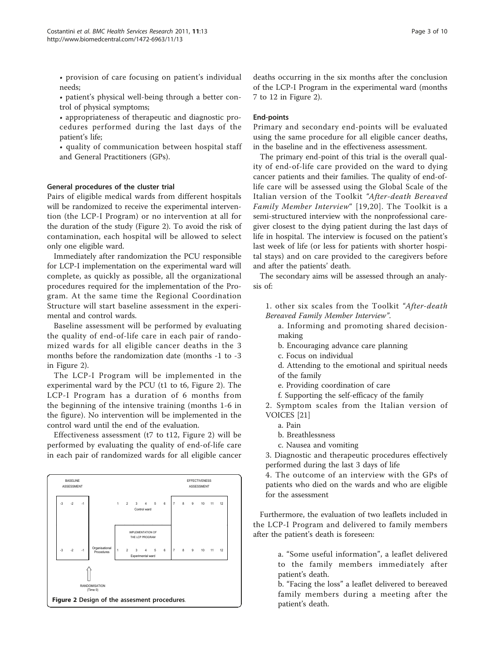• provision of care focusing on patient's individual needs;

• patient's physical well-being through a better control of physical symptoms;

• appropriateness of therapeutic and diagnostic procedures performed during the last days of the patient's life;

• quality of communication between hospital staff and General Practitioners (GPs).

#### General procedures of the cluster trial

Pairs of eligible medical wards from different hospitals will be randomized to receive the experimental intervention (the LCP-I Program) or no intervention at all for the duration of the study (Figure 2). To avoid the risk of contamination, each hospital will be allowed to select only one eligible ward.

Immediately after randomization the PCU responsible for LCP-I implementation on the experimental ward will complete, as quickly as possible, all the organizational procedures required for the implementation of the Program. At the same time the Regional Coordination Structure will start baseline assessment in the experimental and control wards.

Baseline assessment will be performed by evaluating the quality of end-of-life care in each pair of randomized wards for all eligible cancer deaths in the 3 months before the randomization date (months -1 to -3 in Figure 2).

The LCP-I Program will be implemented in the experimental ward by the PCU (t1 to t6, Figure 2). The LCP-I Program has a duration of 6 months from the beginning of the intensive training (months 1-6 in the figure). No intervention will be implemented in the control ward until the end of the evaluation.

Effectiveness assessment (t7 to t12, Figure 2) will be performed by evaluating the quality of end-of-life care in each pair of randomized wards for all eligible cancer



deaths occurring in the six months after the conclusion of the LCP-I Program in the experimental ward (months 7 to 12 in Figure 2).

#### End-points

Primary and secondary end-points will be evaluated using the same procedure for all eligible cancer deaths, in the baseline and in the effectiveness assessment.

The primary end-point of this trial is the overall quality of end-of-life care provided on the ward to dying cancer patients and their families. The quality of end-oflife care will be assessed using the Global Scale of the Italian version of the Toolkit "After-death Bereaved Family Member Interview" [[19](#page-9-0),[20\]](#page-9-0). The Toolkit is a semi-structured interview with the nonprofessional caregiver closest to the dying patient during the last days of life in hospital. The interview is focused on the patient's last week of life (or less for patients with shorter hospital stays) and on care provided to the caregivers before and after the patients' death.

The secondary aims will be assessed through an analysis of:

1. other six scales from the Toolkit "After-death Bereaved Family Member Interview".

- a. Informing and promoting shared decisionmaking
- b. Encouraging advance care planning
- c. Focus on individual
- d. Attending to the emotional and spiritual needs of the family
- e. Providing coordination of care
- f. Supporting the self-efficacy of the family

2. Symptom scales from the Italian version of VOICES [[21](#page-9-0)]

- a. Pain
- b. Breathlessness
- c. Nausea and vomiting

3. Diagnostic and therapeutic procedures effectively performed during the last 3 days of life

4. The outcome of an interview with the GPs of patients who died on the wards and who are eligible for the assessment

Furthermore, the evaluation of two leaflets included in the LCP-I Program and delivered to family members after the patient's death is foreseen:

> a. "Some useful information", a leaflet delivered to the family members immediately after patient's death.

> b. "Facing the loss" a leaflet delivered to bereaved family members during a meeting after the patient's death.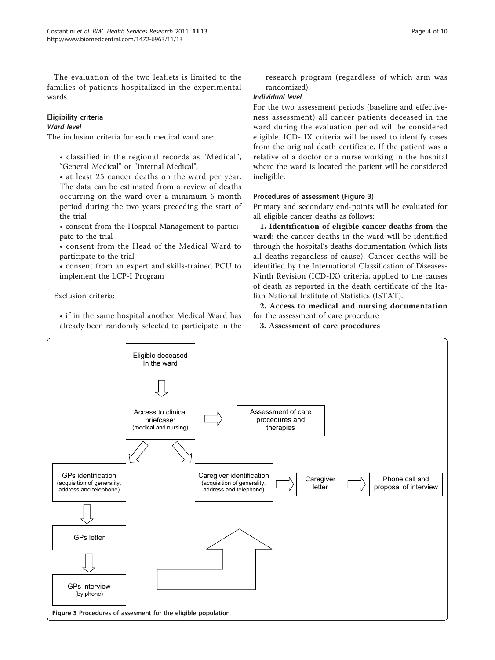The evaluation of the two leaflets is limited to the families of patients hospitalized in the experimental wards.

## Eligibility criteria

## Ward level

The inclusion criteria for each medical ward are:

- classified in the regional records as "Medical", "General Medical" or "Internal Medical";
- at least 25 cancer deaths on the ward per year. The data can be estimated from a review of deaths occurring on the ward over a minimum 6 month period during the two years preceding the start of the trial
- consent from the Hospital Management to participate to the trial
- consent from the Head of the Medical Ward to participate to the trial

• consent from an expert and skills-trained PCU to implement the LCP-I Program

### Exclusion criteria:

• if in the same hospital another Medical Ward has already been randomly selected to participate in the research program (regardless of which arm was randomized).

## Individual level

For the two assessment periods (baseline and effectiveness assessment) all cancer patients deceased in the ward during the evaluation period will be considered eligible. ICD- IX criteria will be used to identify cases from the original death certificate. If the patient was a relative of a doctor or a nurse working in the hospital where the ward is located the patient will be considered ineligible.

### Procedures of assessment (Figure 3)

Primary and secondary end-points will be evaluated for all eligible cancer deaths as follows:

1. Identification of eligible cancer deaths from the ward: the cancer deaths in the ward will be identified through the hospital's deaths documentation (which lists all deaths regardless of cause). Cancer deaths will be identified by the International Classification of Diseases-Ninth Revision (ICD-IX) criteria, applied to the causes of death as reported in the death certificate of the Italian National Institute of Statistics (ISTAT).

2. Access to medical and nursing documentation for the assessment of care procedure

3. Assessment of care procedures

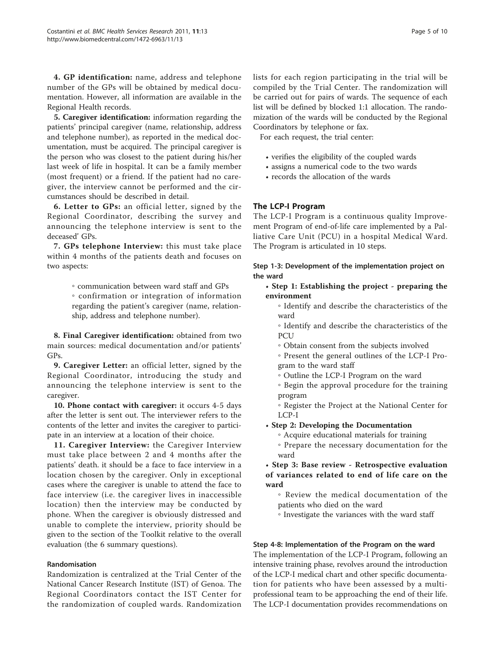4. GP identification: name, address and telephone number of the GPs will be obtained by medical documentation. However, all information are available in the Regional Health records.

5. Caregiver identification: information regarding the patients' principal caregiver (name, relationship, address and telephone number), as reported in the medical documentation, must be acquired. The principal caregiver is the person who was closest to the patient during his/her last week of life in hospital. It can be a family member (most frequent) or a friend. If the patient had no caregiver, the interview cannot be performed and the circumstances should be described in detail.

6. Letter to GPs: an official letter, signed by the Regional Coordinator, describing the survey and announcing the telephone interview is sent to the deceased' GPs.

7. GPs telephone Interview: this must take place within 4 months of the patients death and focuses on two aspects:

- communication between ward staff and GPs
- confirmation or integration of information regarding the patient's caregiver (name, relationship, address and telephone number).

8. Final Caregiver identification: obtained from two main sources: medical documentation and/or patients' GPs.

9. Caregiver Letter: an official letter, signed by the Regional Coordinator, introducing the study and announcing the telephone interview is sent to the caregiver.

10. Phone contact with caregiver: it occurs 4-5 days after the letter is sent out. The interviewer refers to the contents of the letter and invites the caregiver to participate in an interview at a location of their choice.

11. Caregiver Interview: the Caregiver Interview must take place between 2 and 4 months after the patients' death. it should be a face to face interview in a location chosen by the caregiver. Only in exceptional cases where the caregiver is unable to attend the face to face interview (i.e. the caregiver lives in inaccessible location) then the interview may be conducted by phone. When the caregiver is obviously distressed and unable to complete the interview, priority should be given to the section of the Toolkit relative to the overall evaluation (the 6 summary questions).

### Randomisation

Randomization is centralized at the Trial Center of the National Cancer Research Institute (IST) of Genoa. The Regional Coordinators contact the IST Center for the randomization of coupled wards. Randomization lists for each region participating in the trial will be compiled by the Trial Center. The randomization will be carried out for pairs of wards. The sequence of each list will be defined by blocked 1:1 allocation. The randomization of the wards will be conducted by the Regional Coordinators by telephone or fax.

For each request, the trial center:

- verifies the eligibility of the coupled wards
- assigns a numerical code to the two wards
- records the allocation of the wards

### The LCP-I Program

The LCP-I Program is a continuous quality Improvement Program of end-of-life care implemented by a Palliative Care Unit (PCU) in a hospital Medical Ward. The Program is articulated in 10 steps.

Step 1-3: Development of the implementation project on the ward

- Step 1: Establishing the project preparing the environment
	- Identify and describe the characteristics of the ward
	- Identify and describe the characteristics of the PCU
	- Obtain consent from the subjects involved
	- Present the general outlines of the LCP-I Program to the ward staff
	- Outline the LCP-I Program on the ward
	- Begin the approval procedure for the training program
	- Register the Project at the National Center for LCP-I
- Step 2: Developing the Documentation
	- Acquire educational materials for training
	- Prepare the necessary documentation for the ward

• Step 3: Base review - Retrospective evaluation of variances related to end of life care on the ward

◦ Review the medical documentation of the patients who died on the ward

◦ Investigate the variances with the ward staff

#### Step 4-8: Implementation of the Program on the ward

The implementation of the LCP-I Program, following an intensive training phase, revolves around the introduction of the LCP-I medical chart and other specific documentation for patients who have been assessed by a multiprofessional team to be approaching the end of their life. The LCP-I documentation provides recommendations on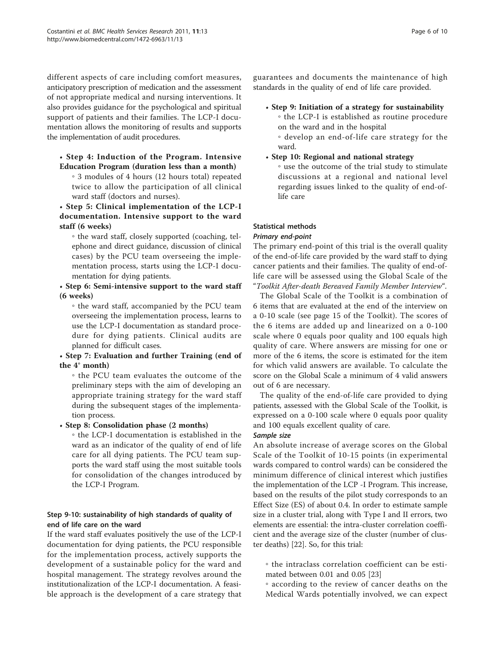different aspects of care including comfort measures, anticipatory prescription of medication and the assessment of not appropriate medical and nursing interventions. It also provides guidance for the psychological and spiritual support of patients and their families. The LCP-I documentation allows the monitoring of results and supports the implementation of audit procedures.

#### • Step 4: Induction of the Program. Intensive Education Program (duration less than a month)

◦ 3 modules of 4 hours (12 hours total) repeated twice to allow the participation of all clinical ward staff (doctors and nurses).

• Step 5: Clinical implementation of the LCP-I documentation. Intensive support to the ward staff (6 weeks)

◦ the ward staff, closely supported (coaching, telephone and direct guidance, discussion of clinical cases) by the PCU team overseeing the implementation process, starts using the LCP-I documentation for dying patients.

• Step 6: Semi-intensive support to the ward staff (6 weeks)

◦ the ward staff, accompanied by the PCU team overseeing the implementation process, learns to use the LCP-I documentation as standard procedure for dying patients. Clinical audits are planned for difficult cases.

## • Step 7: Evaluation and further Training (end of the 4° month)

◦ the PCU team evaluates the outcome of the preliminary steps with the aim of developing an appropriate training strategy for the ward staff during the subsequent stages of the implementation process.

## • Step 8: Consolidation phase (2 months)

◦ the LCP-I documentation is established in the ward as an indicator of the quality of end of life care for all dying patients. The PCU team supports the ward staff using the most suitable tools for consolidation of the changes introduced by the LCP-I Program.

## Step 9-10: sustainability of high standards of quality of end of life care on the ward

If the ward staff evaluates positively the use of the LCP-I documentation for dying patients, the PCU responsible for the implementation process, actively supports the development of a sustainable policy for the ward and hospital management. The strategy revolves around the institutionalization of the LCP-I documentation. A feasible approach is the development of a care strategy that

guarantees and documents the maintenance of high standards in the quality of end of life care provided.

#### • Step 9: Initiation of a strategy for sustainability

◦ the LCP-I is established as routine procedure on the ward and in the hospital

◦ develop an end-of-life care strategy for the ward.

• Step 10: Regional and national strategy

◦ use the outcome of the trial study to stimulate discussions at a regional and national level regarding issues linked to the quality of end-oflife care

## Statistical methods

## Primary end-point

The primary end-point of this trial is the overall quality of the end-of-life care provided by the ward staff to dying cancer patients and their families. The quality of end-oflife care will be assessed using the Global Scale of the "Toolkit After-death Bereaved Family Member Interview".

The Global Scale of the Toolkit is a combination of 6 items that are evaluated at the end of the interview on a 0-10 scale (see page 15 of the Toolkit). The scores of the 6 items are added up and linearized on a 0-100 scale where 0 equals poor quality and 100 equals high quality of care. Where answers are missing for one or more of the 6 items, the score is estimated for the item for which valid answers are available. To calculate the score on the Global Scale a minimum of 4 valid answers out of 6 are necessary.

The quality of the end-of-life care provided to dying patients, assessed with the Global Scale of the Toolkit, is expressed on a 0-100 scale where 0 equals poor quality and 100 equals excellent quality of care.

### Sample size

An absolute increase of average scores on the Global Scale of the Toolkit of 10-15 points (in experimental wards compared to control wards) can be considered the minimum difference of clinical interest which justifies the implementation of the LCP -I Program. This increase, based on the results of the pilot study corresponds to an Effect Size (ES) of about 0.4. In order to estimate sample size in a cluster trial, along with Type I and II errors, two elements are essential: the intra-cluster correlation coefficient and the average size of the cluster (number of cluster deaths) [[22\]](#page-9-0). So, for this trial:

◦ the intraclass correlation coefficient can be estimated between 0.01 and 0.05 [\[23](#page-9-0)]

◦ according to the review of cancer deaths on the Medical Wards potentially involved, we can expect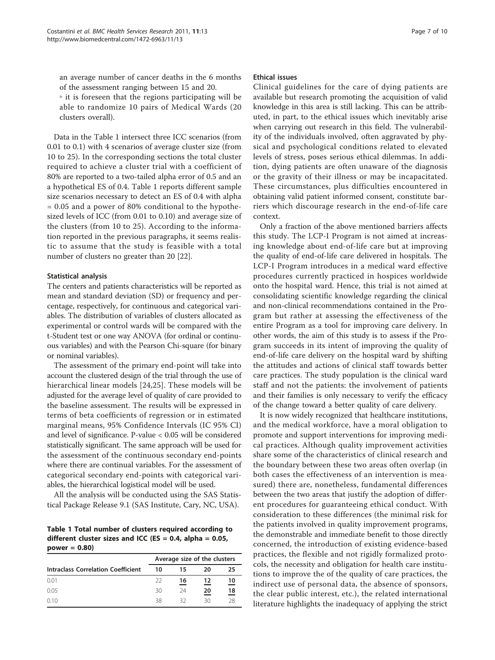an average number of cancer deaths in the 6 months of the assessment ranging between 15 and 20.

◦ it is foreseen that the regions participating will be able to randomize 10 pairs of Medical Wards (20 clusters overall).

Data in the Table 1 intersect three ICC scenarios (from 0.01 to 0.1) with 4 scenarios of average cluster size (from 10 to 25). In the corresponding sections the total cluster required to achieve a cluster trial with a coefficient of 80% are reported to a two-tailed alpha error of 0.5 and an a hypothetical ES of 0.4. Table 1 reports different sample size scenarios necessary to detect an ES of 0.4 with alpha  $= 0.05$  and a power of 80% conditional to the hypothesized levels of ICC (from 0.01 to 0.10) and average size of the clusters (from 10 to 25). According to the information reported in the previous paragraphs, it seems realistic to assume that the study is feasible with a total number of clusters no greater than 20 [\[22](#page-9-0)].

#### Statistical analysis

The centers and patients characteristics will be reported as mean and standard deviation (SD) or frequency and percentage, respectively, for continuous and categorical variables. The distribution of variables of clusters allocated as experimental or control wards will be compared with the t-Student test or one way ANOVA (for ordinal or continuous variables) and with the Pearson Chi-square (for binary or nominal variables).

The assessment of the primary end-point will take into account the clustered design of the trial through the use of hierarchical linear models [\[24](#page-9-0),[25\]](#page-9-0). These models will be adjusted for the average level of quality of care provided to the baseline assessment. The results will be expressed in terms of beta coefficients of regression or in estimated marginal means, 95% Confidence Intervals (IC 95% CI) and level of significance. P-value < 0.05 will be considered statistically significant. The same approach will be used for the assessment of the continuous secondary end-points where there are continual variables. For the assessment of categorical secondary end-points with categorical variables, the hierarchical logistical model will be used.

All the analysis will be conducted using the SAS Statistical Package Release 9.1 (SAS Institute, Cary, NC, USA).

Table 1 Total number of clusters required according to different cluster sizes and ICC (ES = 0.4, alpha =  $0.05$ , power = 0.80)

|                                           | Average size of the clusters |    |    |                 |
|-------------------------------------------|------------------------------|----|----|-----------------|
| <b>Intraclass Correlation Coefficient</b> | 10                           | 15 | 20 | 25              |
| 0 <sub>01</sub>                           | 22                           | 16 | 12 | 10              |
| 005                                       | 30                           | 74 | 20 | $\overline{18}$ |
| 010                                       | 38                           | 32 | 30 | 28              |

#### Ethical issues

Clinical guidelines for the care of dying patients are available but research promoting the acquisition of valid knowledge in this area is still lacking. This can be attributed, in part, to the ethical issues which inevitably arise when carrying out research in this field. The vulnerability of the individuals involved, often aggravated by physical and psychological conditions related to elevated levels of stress, poses serious ethical dilemmas. In addition, dying patients are often unaware of the diagnosis or the gravity of their illness or may be incapacitated. These circumstances, plus difficulties encountered in obtaining valid patient informed consent, constitute barriers which discourage research in the end-of-life care context.

Only a fraction of the above mentioned barriers affects this study. The LCP-I Program is not aimed at increasing knowledge about end-of-life care but at improving the quality of end-of-life care delivered in hospitals. The LCP-I Program introduces in a medical ward effective procedures currently practiced in hospices worldwide onto the hospital ward. Hence, this trial is not aimed at consolidating scientific knowledge regarding the clinical and non-clinical recommendations contained in the Program but rather at assessing the effectiveness of the entire Program as a tool for improving care delivery. In other words, the aim of this study is to assess if the Program succeeds in its intent of improving the quality of end-of-life care delivery on the hospital ward by shifting the attitudes and actions of clinical staff towards better care practices. The study population is the clinical ward staff and not the patients: the involvement of patients and their families is only necessary to verify the efficacy of the change toward a better quality of care delivery.

It is now widely recognized that healthcare institutions, and the medical workforce, have a moral obligation to promote and support interventions for improving medical practices. Although quality improvement activities share some of the characteristics of clinical research and the boundary between these two areas often overlap (in both cases the effectiveness of an intervention is measured) there are, nonetheless, fundamental differences between the two areas that justify the adoption of different procedures for guaranteeing ethical conduct. With consideration to these differences (the minimal risk for the patients involved in quality improvement programs, the demonstrable and immediate benefit to those directly concerned, the introduction of existing evidence-based practices, the flexible and not rigidly formalized protocols, the necessity and obligation for health care institutions to improve the of the quality of care practices, the indirect use of personal data, the absence of sponsors, the clear public interest, etc.), the related international literature highlights the inadequacy of applying the strict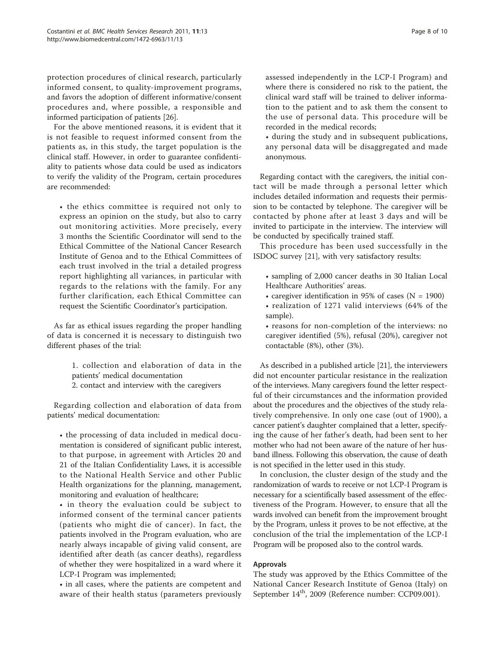protection procedures of clinical research, particularly informed consent, to quality-improvement programs, and favors the adoption of different informative/consent procedures and, where possible, a responsible and informed participation of patients [\[26](#page-9-0)].

For the above mentioned reasons, it is evident that it is not feasible to request informed consent from the patients as, in this study, the target population is the clinical staff. However, in order to guarantee confidentiality to patients whose data could be used as indicators to verify the validity of the Program, certain procedures are recommended:

• the ethics committee is required not only to express an opinion on the study, but also to carry out monitoring activities. More precisely, every 3 months the Scientific Coordinator will send to the Ethical Committee of the National Cancer Research Institute of Genoa and to the Ethical Committees of each trust involved in the trial a detailed progress report highlighting all variances, in particular with regards to the relations with the family. For any further clarification, each Ethical Committee can request the Scientific Coordinator's participation.

As far as ethical issues regarding the proper handling of data is concerned it is necessary to distinguish two different phases of the trial:

> 1. collection and elaboration of data in the patients' medical documentation 2. contact and interview with the caregivers

Regarding collection and elaboration of data from patients' medical documentation:

• the processing of data included in medical documentation is considered of significant public interest, to that purpose, in agreement with Articles 20 and 21 of the Italian Confidentiality Laws, it is accessible to the National Health Service and other Public Health organizations for the planning, management, monitoring and evaluation of healthcare;

• in theory the evaluation could be subject to informed consent of the terminal cancer patients (patients who might die of cancer). In fact, the patients involved in the Program evaluation, who are nearly always incapable of giving valid consent, are identified after death (as cancer deaths), regardless of whether they were hospitalized in a ward where it LCP-I Program was implemented;

• in all cases, where the patients are competent and aware of their health status (parameters previously assessed independently in the LCP-I Program) and where there is considered no risk to the patient, the clinical ward staff will be trained to deliver information to the patient and to ask them the consent to the use of personal data. This procedure will be recorded in the medical records;

• during the study and in subsequent publications, any personal data will be disaggregated and made anonymous.

Regarding contact with the caregivers, the initial contact will be made through a personal letter which includes detailed information and requests their permission to be contacted by telephone. The caregiver will be contacted by phone after at least 3 days and will be invited to participate in the interview. The interview will be conducted by specifically trained staff.

This procedure has been used successfully in the ISDOC survey [[21\]](#page-9-0), with very satisfactory results:

- sampling of 2,000 cancer deaths in 30 Italian Local Healthcare Authorities' areas.
- caregiver identification in 95% of cases ( $N = 1900$ )
- realization of 1271 valid interviews (64% of the sample).
- reasons for non-completion of the interviews: no caregiver identified (5%), refusal (20%), caregiver not contactable (8%), other (3%).

As described in a published article [[21\]](#page-9-0), the interviewers did not encounter particular resistance in the realization of the interviews. Many caregivers found the letter respectful of their circumstances and the information provided about the procedures and the objectives of the study relatively comprehensive. In only one case (out of 1900), a cancer patient's daughter complained that a letter, specifying the cause of her father's death, had been sent to her mother who had not been aware of the nature of her husband illness. Following this observation, the cause of death is not specified in the letter used in this study.

In conclusion, the cluster design of the study and the randomization of wards to receive or not LCP-I Program is necessary for a scientifically based assessment of the effectiveness of the Program. However, to ensure that all the wards involved can benefit from the improvement brought by the Program, unless it proves to be not effective, at the conclusion of the trial the implementation of the LCP-I Program will be proposed also to the control wards.

### Approvals

The study was approved by the Ethics Committee of the National Cancer Research Institute of Genoa (Italy) on September 14<sup>th</sup>, 2009 (Reference number: CCP09.001).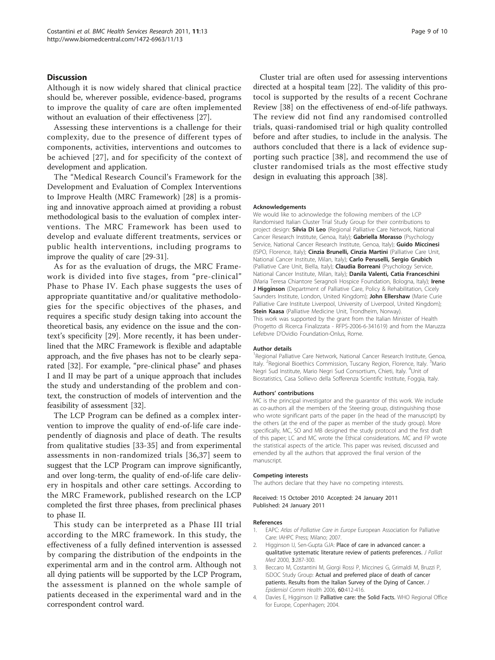#### <span id="page-8-0"></span>Discussion

Although it is now widely shared that clinical practice should be, wherever possible, evidence-based, programs to improve the quality of care are often implemented without an evaluation of their effectiveness [[27](#page-9-0)].

Assessing these interventions is a challenge for their complexity, due to the presence of different types of components, activities, interventions and outcomes to be achieved [[27](#page-9-0)], and for specificity of the context of development and application.

The "Medical Research Council's Framework for the Development and Evaluation of Complex Interventions to Improve Health (MRC Framework) [[28\]](#page-9-0) is a promising and innovative approach aimed at providing a robust methodological basis to the evaluation of complex interventions. The MRC Framework has been used to develop and evaluate different treatments, services or public health interventions, including programs to improve the quality of care [[29](#page-9-0)-[31\]](#page-9-0).

As for as the evaluation of drugs, the MRC Framework is divided into five stages, from "pre-clinical" Phase to Phase IV. Each phase suggests the uses of appropriate quantitative and/or qualitative methodologies for the specific objectives of the phases, and requires a specific study design taking into account the theoretical basis, any evidence on the issue and the context's specificity [[29\]](#page-9-0). More recently, it has been underlined that the MRC Framework is flexible and adaptable approach, and the five phases has not to be clearly separated [[32](#page-9-0)]. For example, "pre-clinical phase" and phases I and II may be part of a unique approach that includes the study and understanding of the problem and context, the construction of models of intervention and the feasibility of assessment [\[32](#page-9-0)].

The LCP Program can be defined as a complex intervention to improve the quality of end-of-life care independently of diagnosis and place of death. The results from qualitative studies [[33](#page-9-0)-[35\]](#page-9-0) and from experimental assessments in non-randomized trials [[36](#page-9-0),[37\]](#page-9-0) seem to suggest that the LCP Program can improve significantly, and over long-term, the quality of end-of-life care delivery in hospitals and other care settings. According to the MRC Framework, published research on the LCP completed the first three phases, from preclinical phases to phase II.

This study can be interpreted as a Phase III trial according to the MRC framework. In this study, the effectiveness of a fully defined intervention is assessed by comparing the distribution of the endpoints in the experimental arm and in the control arm. Although not all dying patients will be supported by the LCP Program, the assessment is planned on the whole sample of patients deceased in the experimental ward and in the correspondent control ward.

Cluster trial are often used for assessing interventions directed at a hospital team [\[22](#page-9-0)]. The validity of this protocol is supported by the results of a recent Cochrane Review [\[38\]](#page-9-0) on the effectiveness of end-of-life pathways. The review did not find any randomised controlled trials, quasi-randomised trial or high quality controlled before and after studies, to include in the analysis. The authors concluded that there is a lack of evidence supporting such practice [[38](#page-9-0)], and recommend the use of cluster randomised trials as the most effective study design in evaluating this approach [\[38](#page-9-0)].

#### Acknowledgements

We would like to acknowledge the following members of the LCP Randomised Italian Cluster Trial Study Group for their contributions to project design: Silvia Di Leo (Regional Palliative Care Network, National Cancer Research Institute, Genoa, Italy); Gabriella Morasso (Psychology Service, National Cancer Research Institute, Genoa, Italy); Guido Miccinesi (ISPO, Florence, Italy); Cinzia Brunelli, Cinzia Martini (Palliative Care Unit, National Cancer Institute, Milan, Italy); Carlo Peruselli, Sergio Grubich (Palliative Care Unit, Biella, Italy); Claudia Borreani (Psychology Service, National Cancer Institute, Milan, Italy); Danila Valenti, Catia Franceschini (Maria Teresa Chiantore Seragnoli Hospice Foundation, Bologna, Italy); Irene J Higginson (Department of Palliative Care, Policy & Rehabilitation, Cicely Saunders Institute, London, United Kingdom); John Ellershaw (Marie Curie Palliative Care Institute Liverpool, University of Liverpool, United Kingdom); Stein Kaasa (Palliative Medicine Unit, Trondheim, Norway). This work was supported by the grant from the Italian Minister of Health (Progetto di Ricerca Finalizzata - RFPS-2006-6-341619) and from the Maruzza Lefebvre D'Ovidio Foundation-Onlus, Rome.

#### Author details

<sup>1</sup> Regional Palliative Care Network, National Cancer Research Institute, Genoa, Italy. <sup>2</sup>Regional Bioethics Commission, Tuscany Region, Florence, Italy. <sup>3</sup>Maric Negri Sud Institute, Mario Negri Sud Consortium, Chieti, Italy. <sup>4</sup>Unit of Biostatistics, Casa Sollievo della Sofferenza Scientific Institute, Foggia, Italy.

#### Authors' contributions

MC is the principal investigator and the guarantor of this work. We include as co-authors all the members of the Steering group, distinguishing those who wrote significant parts of the paper (in the head of the manuscript) by the others (at the end of the paper as member of the study group). More specifically, MC, SO and MB designed the study protocol and the first draft of this paper; LC and MC wrote the Ethical considerations. MC and FP wrote the statistical aspects of the article. This paper was revised, discussed and emended by all the authors that approved the final version of the manuscript.

#### Competing interests

The authors declare that they have no competing interests.

Received: 15 October 2010 Accepted: 24 January 2011 Published: 24 January 2011

#### References

- 1. EAPC: Atlas of Palliative Care in Europe European Association for Palliative Care: IAHPC Press; Milano; 2007.
- 2. Higginson IJ, Sen-Gupta GJA: [Place of care in advanced cancer: a](http://www.ncbi.nlm.nih.gov/pubmed/15859670?dopt=Abstract) [qualitative systematic literature review of patients preferences.](http://www.ncbi.nlm.nih.gov/pubmed/15859670?dopt=Abstract) J Palliat Med 2000, 3:287-300.
- 3. Beccaro M, Costantini M, Giorgi Rossi P, Miccinesi G, Grimaldi M, Bruzzi P, ISDOC Study Group: Actual and preferred place of death of cancer patients. Results from the Italian Survey of the Dying of Cancer. J Epidemiol Comm Health 2006, 60:412-416.
- 4. Davies E, Higginson IJ: Palliative care: the Solid Facts. WHO Regional Office for Europe, Copenhagen; 2004.